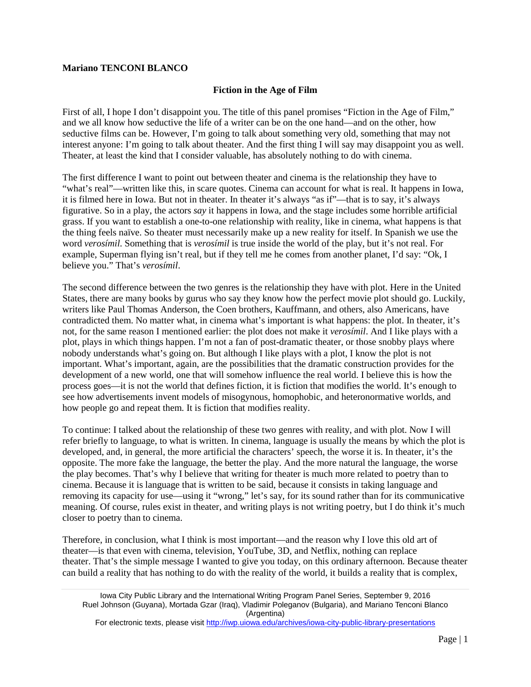## **Mariano TENCONI BLANCO**

## **Fiction in the Age of Film**

First of all, I hope I don't disappoint you. The title of this panel promises "Fiction in the Age of Film," and we all know how seductive the life of a writer can be on the one hand—and on the other, how seductive films can be. However, I'm going to talk about something very old, something that may not interest anyone: I'm going to talk about theater. And the first thing I will say may disappoint you as well. Theater, at least the kind that I consider valuable, has absolutely nothing to do with cinema.

The first difference I want to point out between theater and cinema is the relationship they have to "what's real"—written like this, in scare quotes. Cinema can account for what is real. It happens in Iowa, it is filmed here in Iowa. But not in theater. In theater it's always "as if"—that is to say, it's always figurative. So in a play, the actors *say* it happens in Iowa, and the stage includes some horrible artificial grass. If you want to establish a one-to-one relationship with reality, like in cinema, what happens is that the thing feels naïve. So theater must necessarily make up a new reality for itself. In Spanish we use the word *verosímil*. Something that is *verosímil* is true inside the world of the play, but it's not real. For example, Superman flying isn't real, but if they tell me he comes from another planet, I'd say: "Ok, I believe you." That's *verosímil*.

The second difference between the two genres is the relationship they have with plot. Here in the United States, there are many books by gurus who say they know how the perfect movie plot should go. Luckily, writers like Paul Thomas Anderson, the Coen brothers, Kauffmann, and others, also Americans, have contradicted them. No matter what, in cinema what's important is what happens: the plot. In theater, it's not, for the same reason I mentioned earlier: the plot does not make it *verosímil*. And I like plays with a plot, plays in which things happen. I'm not a fan of post-dramatic theater, or those snobby plays where nobody understands what's going on. But although I like plays with a plot, I know the plot is not important. What's important, again, are the possibilities that the dramatic construction provides for the development of a new world, one that will somehow influence the real world. I believe this is how the process goes—it is not the world that defines fiction, it is fiction that modifies the world. It's enough to see how advertisements invent models of misogynous, homophobic, and heteronormative worlds, and how people go and repeat them. It is fiction that modifies reality.

To continue: I talked about the relationship of these two genres with reality, and with plot. Now I will refer briefly to language, to what is written. In cinema, language is usually the means by which the plot is developed, and, in general, the more artificial the characters' speech, the worse it is. In theater, it's the opposite. The more fake the language, the better the play. And the more natural the language, the worse the play becomes. That's why I believe that writing for theater is much more related to poetry than to cinema. Because it is language that is written to be said, because it consists in taking language and removing its capacity for use—using it "wrong," let's say, for its sound rather than for its communicative meaning. Of course, rules exist in theater, and writing plays is not writing poetry, but I do think it's much closer to poetry than to cinema.

Therefore, in conclusion, what I think is most important—and the reason why I love this old art of theater—is that even with cinema, television, YouTube, 3D, and Netflix, nothing can replace theater. That's the simple message I wanted to give you today, on this ordinary afternoon. Because theater can build a reality that has nothing to do with the reality of the world, it builds a reality that is complex,

For electronic texts, please visit<http://iwp.uiowa.edu/archives/iowa-city-public-library-presentations>